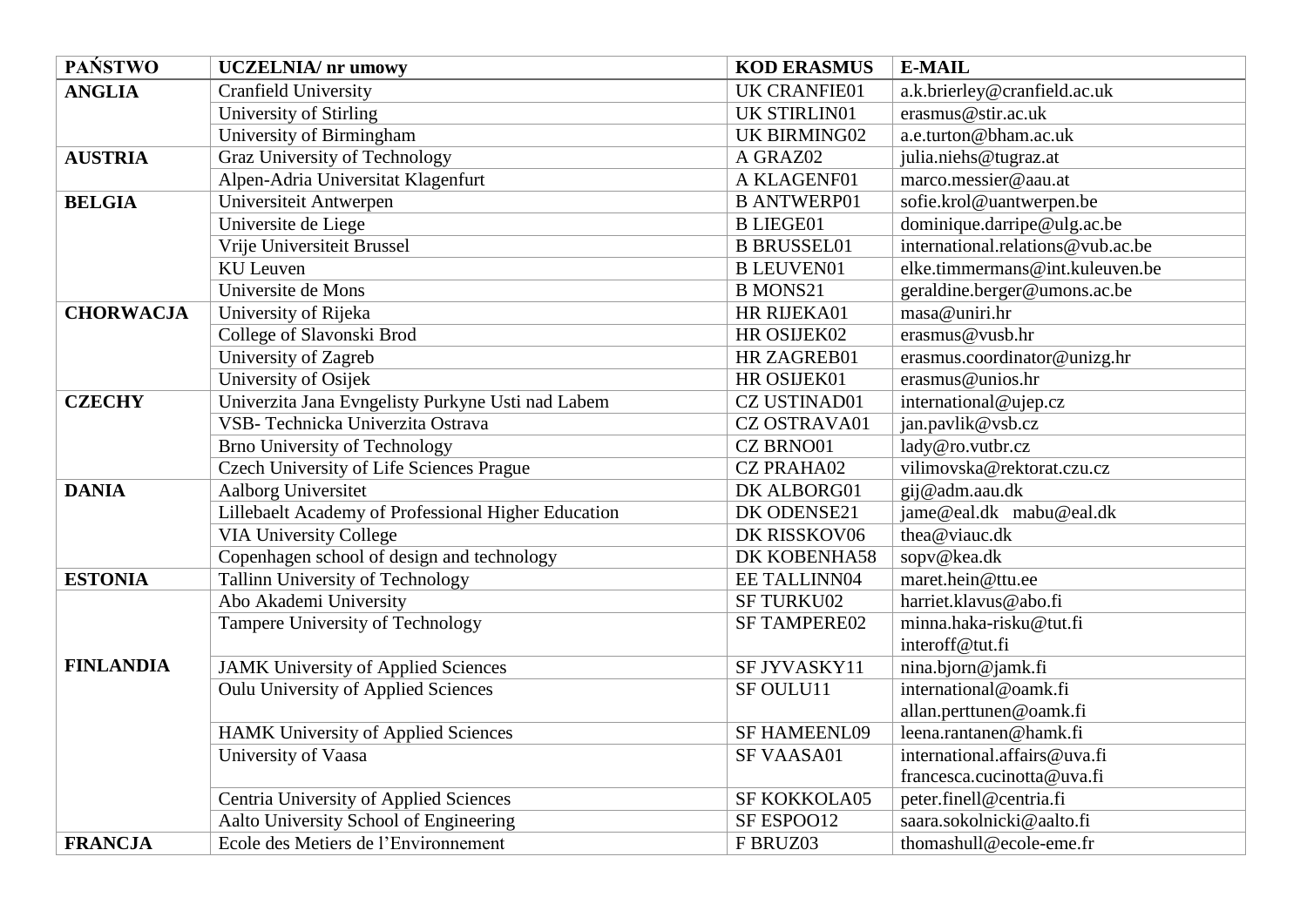| <b>PAŃSTWO</b>   | <b>UCZELNIA/</b> nr umowy                           | <b>KOD ERASMUS</b>  | <b>E-MAIL</b>                     |
|------------------|-----------------------------------------------------|---------------------|-----------------------------------|
| <b>ANGLIA</b>    | Cranfield University                                | <b>UK CRANFIE01</b> | a.k.brierley@cranfield.ac.uk      |
|                  | University of Stirling                              | <b>UK STIRLIN01</b> | erasmus@stir.ac.uk                |
|                  | University of Birmingham                            | <b>UK BIRMING02</b> | a.e.turton@bham.ac.uk             |
| <b>AUSTRIA</b>   | Graz University of Technology                       | A GRAZ02            | julia.niehs@tugraz.at             |
|                  | Alpen-Adria Universitat Klagenfurt                  | A KLAGENF01         | marco.messier@aau.at              |
| <b>BELGIA</b>    | Universiteit Antwerpen                              | <b>B ANTWERP01</b>  | sofie.krol@uantwerpen.be          |
|                  | Universite de Liege                                 | <b>B LIEGE01</b>    | dominique.darripe@ulg.ac.be       |
|                  | Vrije Universiteit Brussel                          | <b>B BRUSSEL01</b>  | international.relations@vub.ac.be |
|                  | <b>KU</b> Leuven                                    | <b>B LEUVEN01</b>   | elke.timmermans@int.kuleuven.be   |
|                  | Universite de Mons                                  | <b>B MONS21</b>     | geraldine.berger@umons.ac.be      |
| <b>CHORWACJA</b> | University of Rijeka                                | HR RIJEKA01         | masa@uniri.hr                     |
|                  | College of Slavonski Brod                           | HR OSIJEK02         | erasmus@vusb.hr                   |
|                  | University of Zagreb                                | HR ZAGREB01         | erasmus.coordinator@unizg.hr      |
|                  | University of Osijek                                | HR OSIJEK01         | erasmus@unios.hr                  |
| <b>CZECHY</b>    | Univerzita Jana Evngelisty Purkyne Usti nad Labem   | <b>CZ USTINAD01</b> | international@ujep.cz             |
|                  | VSB- Technicka Univerzita Ostrava                   | <b>CZ OSTRAVA01</b> | jan.pavlik@vsb.cz                 |
|                  | <b>Brno University of Technology</b>                | CZ BRNO01           | lady@ro.vutbr.cz                  |
|                  | Czech University of Life Sciences Prague            | <b>CZ PRAHA02</b>   | vilimovska@rektorat.czu.cz        |
| <b>DANIA</b>     | Aalborg Universitet                                 | DK ALBORG01         | gij@adm.aau.dk                    |
|                  | Lillebaelt Academy of Professional Higher Education | DK ODENSE21         | jame@eal.dk mabu@eal.dk           |
|                  | <b>VIA University College</b>                       | DK RISSKOV06        | thea@viauc.dk                     |
|                  | Copenhagen school of design and technology          | DK KOBENHA58        | sopv@kea.dk                       |
| <b>ESTONIA</b>   | Tallinn University of Technology                    | EE TALLINN04        | maret.hein@ttu.ee                 |
|                  | Abo Akademi University                              | <b>SF TURKU02</b>   | harriet.klavus@abo.fi             |
|                  | Tampere University of Technology                    | <b>SF TAMPERE02</b> | minna.haka-risku@tut.fi           |
|                  |                                                     |                     | interoff@tut.fi                   |
| <b>FINLANDIA</b> | <b>JAMK University of Applied Sciences</b>          | SF JYVASKY11        | nina.bjorn@jamk.fi                |
|                  | <b>Oulu University of Applied Sciences</b>          | SF OULU11           | international@oamk.fi             |
|                  |                                                     |                     | allan.perttunen@oamk.fi           |
|                  | <b>HAMK University of Applied Sciences</b>          | <b>SF HAMEENL09</b> | leena.rantanen@hamk.fi            |
|                  | University of Vaasa                                 | SF VAASA01          | international.affairs@uva.fi      |
|                  |                                                     |                     | francesca.cucinotta@uva.fi        |
|                  | Centria University of Applied Sciences              | SF KOKKOLA05        | peter.finell@centria.fi           |
|                  | Aalto University School of Engineering              | SF ESPOO12          | saara.sokolnicki@aalto.fi         |
| <b>FRANCJA</b>   | Ecole des Metiers de l'Environnement                | F BRUZ03            | thomashull@ecole-eme.fr           |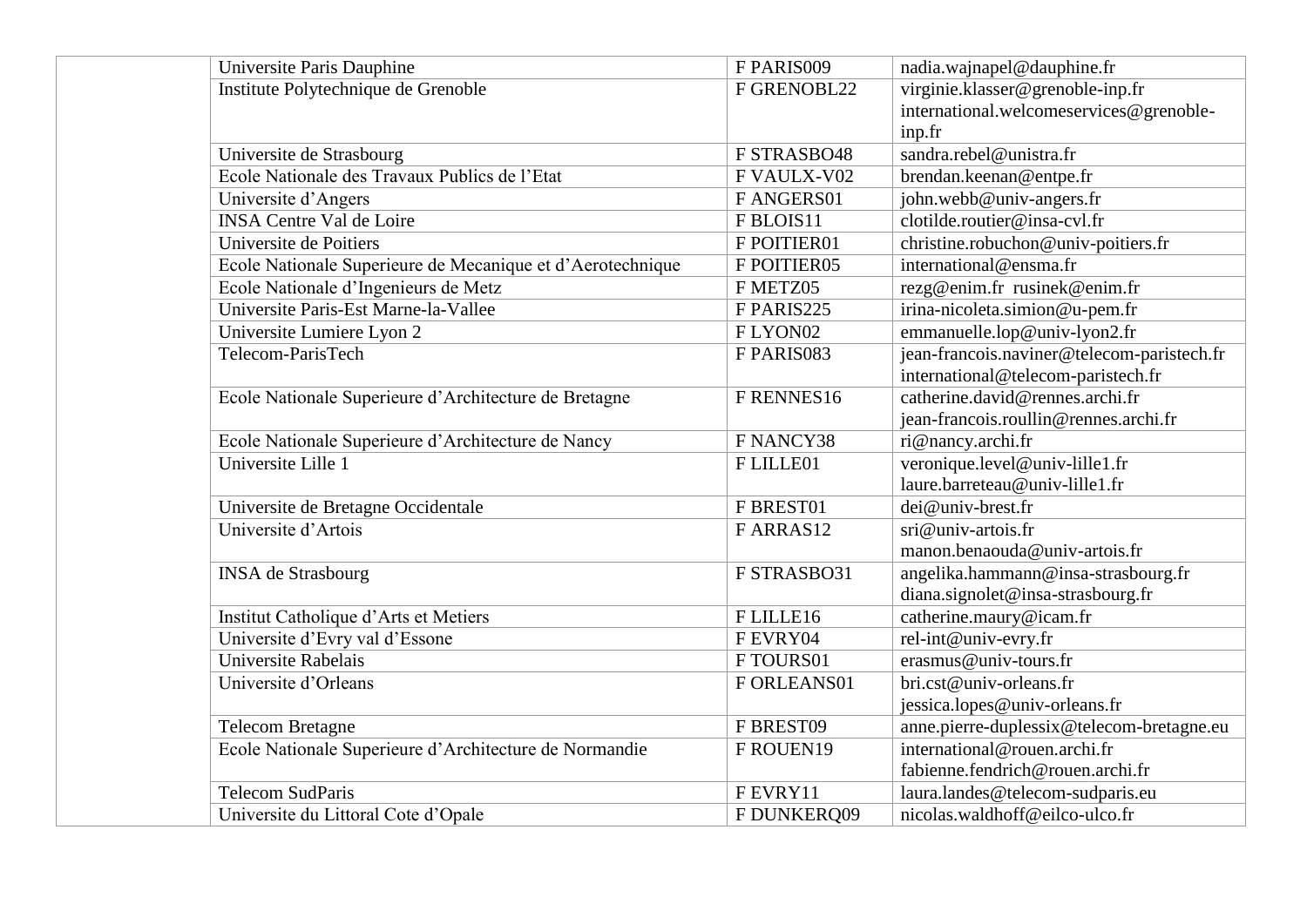| Universite Paris Dauphine                                  | F PARIS009           | nadia.wajnapel@dauphine.fr                 |
|------------------------------------------------------------|----------------------|--------------------------------------------|
| Institute Polytechnique de Grenoble                        | F GRENOBL22          | virginie.klasser@grenoble-inp.fr           |
|                                                            |                      | international.welcomeservices@grenoble-    |
|                                                            |                      | inp.fr                                     |
| Universite de Strasbourg                                   | F STRASBO48          | sandra.rebel@unistra.fr                    |
| Ecole Nationale des Travaux Publics de l'Etat              | F VAULX-V02          | brendan.keenan@entpe.fr                    |
| Universite d'Angers                                        | F ANGERS01           | john.webb@univ-angers.fr                   |
| <b>INSA Centre Val de Loire</b>                            | FBLOIS11             | clotilde.routier@insa-cvl.fr               |
| Universite de Poitiers                                     | F POITIER01          | christine.robuchon@univ-poitiers.fr        |
| Ecole Nationale Superieure de Mecanique et d'Aerotechnique | F POITIER05          | international@ensma.fr                     |
| Ecole Nationale d'Ingenieurs de Metz                       | F METZ05             | rezg@enim.fr rusinek@enim.fr               |
| Universite Paris-Est Marne-la-Vallee                       | F PARIS225           | irina-nicoleta.simion@u-pem.fr             |
| Universite Lumiere Lyon 2                                  | FLYON02              | emmanuelle.lop@univ-lyon2.fr               |
| Telecom-ParisTech                                          | F PARIS083           | jean-francois.naviner@telecom-paristech.fr |
|                                                            |                      | international@telecom-paristech.fr         |
| Ecole Nationale Superieure d'Architecture de Bretagne      | F RENNES16           | catherine.david@rennes.archi.fr            |
|                                                            |                      | jean-francois.roullin@rennes.archi.fr      |
| Ecole Nationale Superieure d'Architecture de Nancy         | F NANCY38            | ri@nancy.archi.fr                          |
| Universite Lille 1                                         | FLILLE01             | veronique.level@univ-lille1.fr             |
|                                                            |                      | laure.barreteau@univ-lille1.fr             |
| Universite de Bretagne Occidentale                         | F BREST01            | dei@univ-brest.fr                          |
| Universite d'Artois                                        | FARRAS <sub>12</sub> | sri@univ-artois.fr                         |
|                                                            |                      | manon.benaouda@univ-artois.fr              |
| <b>INSA</b> de Strasbourg                                  | F STRASBO31          | angelika.hammann@insa-strasbourg.fr        |
|                                                            |                      | diana.signolet@insa-strasbourg.fr          |
| Institut Catholique d'Arts et Metiers                      | FLILLE16             | catherine.maury@icam.fr                    |
| Universite d'Evry val d'Essone                             | FEVRY04              | rel-int@univ-evry.fr                       |
| Universite Rabelais                                        | FTOURS01             | erasmus@univ-tours.fr                      |
| Universite d'Orleans                                       | F ORLEANS01          | bri.cst@univ-orleans.fr                    |
|                                                            |                      | jessica.lopes@univ-orleans.fr              |
| <b>Telecom Bretagne</b>                                    | F BREST09            | anne.pierre-duplessix@telecom-bretagne.eu  |
| Ecole Nationale Superieure d'Architecture de Normandie     | F ROUEN19            | international@rouen.archi.fr               |
|                                                            |                      | fabienne.fendrich@rouen.archi.fr           |
| <b>Telecom SudParis</b>                                    | FEVRY11              | laura.landes@telecom-sudparis.eu           |
| Universite du Littoral Cote d'Opale                        | F DUNKERQ09          | nicolas.waldhoff@eilco-ulco.fr             |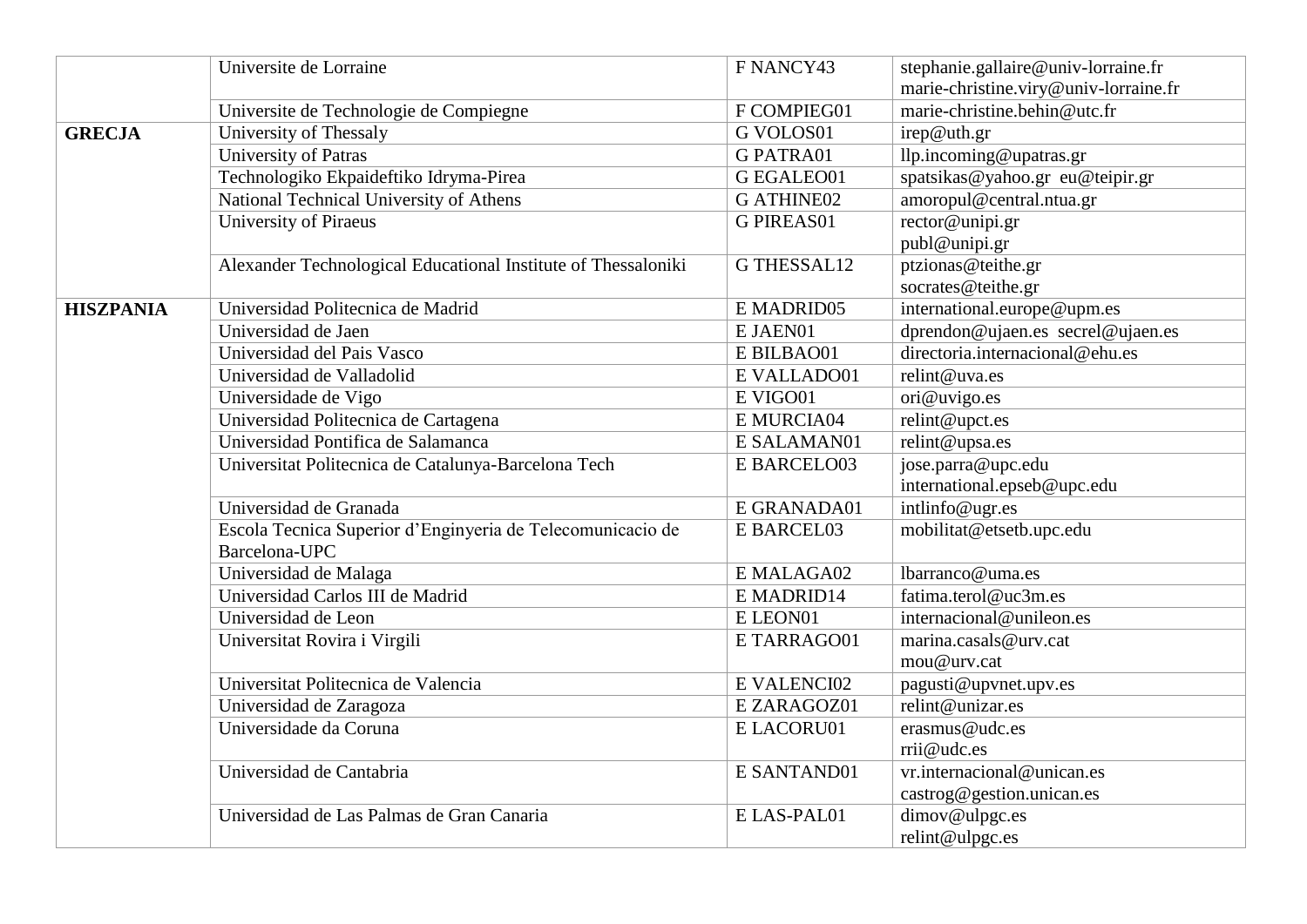|                  | Universite de Lorraine                                        | F NANCY43          | stephanie.gallaire@univ-lorraine.fr   |
|------------------|---------------------------------------------------------------|--------------------|---------------------------------------|
|                  |                                                               |                    | marie-christine.viry@univ-lorraine.fr |
|                  | Universite de Technologie de Compiegne                        | F COMPIEG01        | marie-christine.behin@utc.fr          |
| <b>GRECJA</b>    | University of Thessaly                                        | <b>G VOLOS01</b>   | irep@uth.gr                           |
|                  | University of Patras                                          | <b>G PATRA01</b>   | llp.incoming@upatras.gr               |
|                  | Technologiko Ekpaideftiko Idryma-Pirea                        | G EGALEO01         | spatsikas@yahoo.gr eu@teipir.gr       |
|                  | National Technical University of Athens                       | <b>G ATHINE02</b>  | amoropul@central.ntua.gr              |
|                  | University of Piraeus                                         | <b>G PIREAS01</b>  | rector@unipi.gr                       |
|                  |                                                               |                    | publ@unipi.gr                         |
|                  | Alexander Technological Educational Institute of Thessaloniki | <b>G THESSAL12</b> | ptzionas@teithe.gr                    |
|                  |                                                               |                    | socrates@teithe.gr                    |
| <b>HISZPANIA</b> | Universidad Politecnica de Madrid                             | E MADRID05         | international.europe@upm.es           |
|                  | Universidad de Jaen                                           | E JAEN01           | dprendon@ujaen.es secrel@ujaen.es     |
|                  | Universidad del Pais Vasco                                    | E BILBAO01         | directoria.internacional@ehu.es       |
|                  | Universidad de Valladolid                                     | E VALLADO01        | relint@uva.es                         |
|                  | Universidade de Vigo                                          | E VIGO01           | ori@uvigo.es                          |
|                  | Universidad Politecnica de Cartagena                          | E MURCIA04         | relint@upct.es                        |
|                  | Universidad Pontifica de Salamanca                            | E SALAMAN01        | relint@upsa.es                        |
|                  | Universitat Politecnica de Catalunya-Barcelona Tech           | E BARCELO03        | jose.parra@upc.edu                    |
|                  |                                                               |                    | international.epseb@upc.edu           |
|                  | Universidad de Granada                                        | E GRANADA01        | intlinfo@ugr.es                       |
|                  | Escola Tecnica Superior d'Enginyeria de Telecomunicacio de    | E BARCEL03         | mobilitat@etsetb.upc.edu              |
|                  | Barcelona-UPC                                                 |                    |                                       |
|                  | Universidad de Malaga                                         | E MALAGA02         | lbarranco@uma.es                      |
|                  | Universidad Carlos III de Madrid                              | E MADRID14         | fatima.terol@uc3m.es                  |
|                  | Universidad de Leon                                           | E LEON01           | internacional@unileon.es              |
|                  | Universitat Rovira i Virgili                                  | E TARRAGO01        | marina.casals@urv.cat                 |
|                  |                                                               |                    | mou@urv.cat                           |
|                  | Universitat Politecnica de Valencia                           | E VALENCI02        | pagusti@upvnet.upv.es                 |
|                  | Universidad de Zaragoza                                       | E ZARAGOZ01        | relint@unizar.es                      |
|                  | Universidade da Coruna                                        | E LACORU01         | erasmus@udc.es                        |
|                  |                                                               |                    | rrii@udc.es                           |
|                  | Universidad de Cantabria                                      | E SANTAND01        | vr.internacional@unican.es            |
|                  |                                                               |                    | castrog@gestion.unican.es             |
|                  | Universidad de Las Palmas de Gran Canaria                     | E LAS-PAL01        | dimov@ulpgc.es                        |
|                  |                                                               |                    | relint@ulpgc.es                       |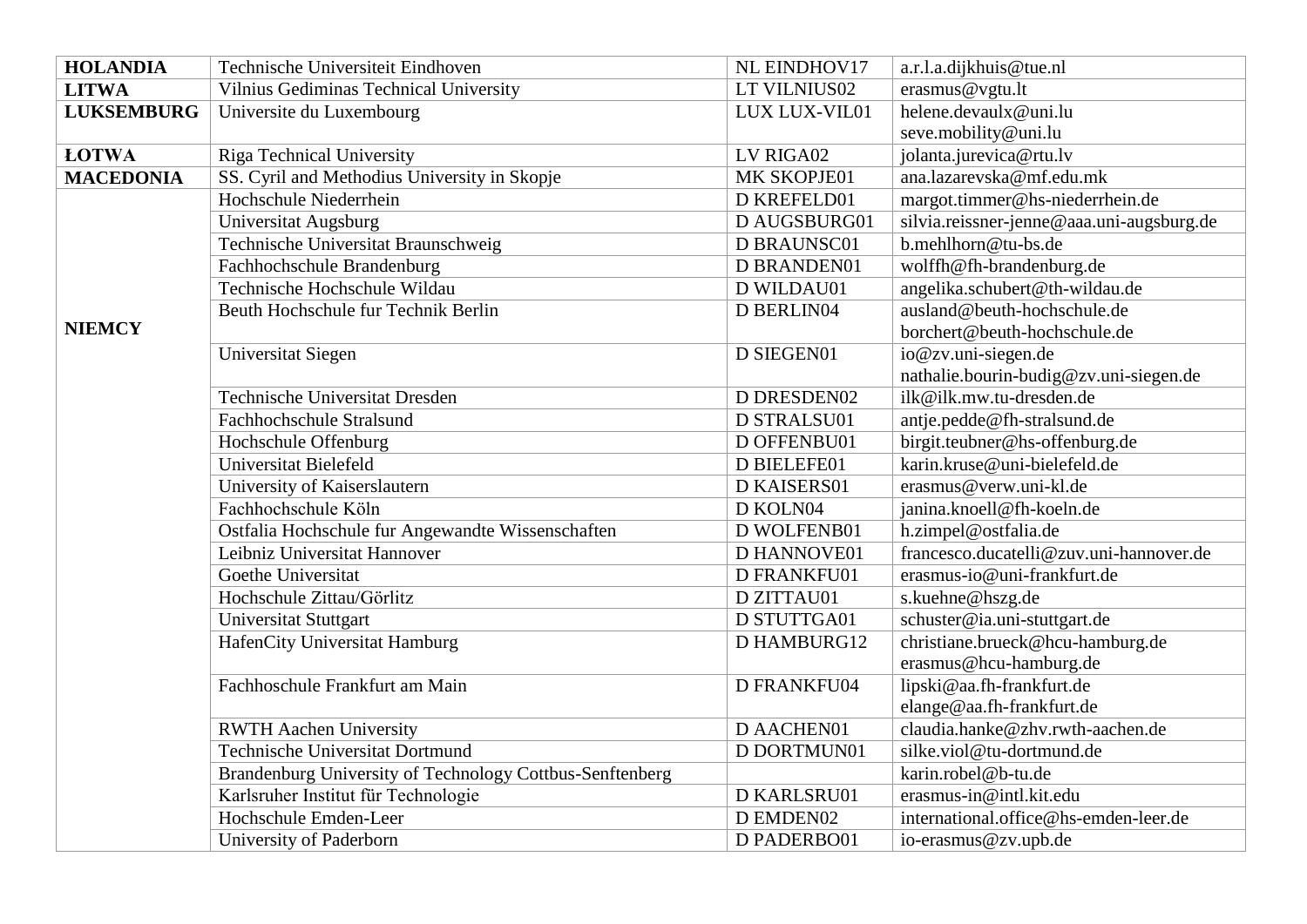| <b>HOLANDIA</b>   | Technische Universiteit Eindhoven                        | NL EINDHOV17  | a.r.l.a.dijkhuis@tue.nl                   |
|-------------------|----------------------------------------------------------|---------------|-------------------------------------------|
| <b>LITWA</b>      | Vilnius Gediminas Technical University                   | LT VILNIUS02  | erasmus@vgtu.lt                           |
| <b>LUKSEMBURG</b> | Universite du Luxembourg                                 | LUX LUX-VIL01 | helene.devaulx@uni.lu                     |
|                   |                                                          |               | seve.mobility@uni.lu                      |
| <b>ŁOTWA</b>      | <b>Riga Technical University</b>                         | LV RIGA02     | jolanta.jurevica@rtu.lv                   |
| <b>MACEDONIA</b>  | SS. Cyril and Methodius University in Skopje             | MK SKOPJE01   | ana.lazarevska@mf.edu.mk                  |
|                   | Hochschule Niederrhein                                   | D KREFELD01   | margot.timmer@hs-niederrhein.de           |
|                   | Universitat Augsburg                                     | D AUGSBURG01  | silvia.reissner-jenne@aaa.uni-augsburg.de |
|                   | Technische Universitat Braunschweig                      | D BRAUNSC01   | b.mehlhorn@tu-bs.de                       |
|                   | Fachhochschule Brandenburg                               | D BRANDEN01   | wolffh@fh-brandenburg.de                  |
|                   | Technische Hochschule Wildau                             | D WILDAU01    | angelika.schubert@th-wildau.de            |
|                   | Beuth Hochschule fur Technik Berlin                      | D BERLIN04    | ausland@beuth-hochschule.de               |
| <b>NIEMCY</b>     |                                                          |               | borchert@beuth-hochschule.de              |
|                   | Universitat Siegen                                       | D SIEGEN01    | io@zv.uni-siegen.de                       |
|                   |                                                          |               | nathalie.bourin-budig@zv.uni-siegen.de    |
|                   | <b>Technische Universitat Dresden</b>                    | D DRESDEN02   | ilk@ilk.mw.tu-dresden.de                  |
|                   | Fachhochschule Stralsund                                 | D STRALSU01   | antje.pedde@fh-stralsund.de               |
|                   | Hochschule Offenburg                                     | D OFFENBU01   | birgit.teubner@hs-offenburg.de            |
|                   | Universitat Bielefeld                                    | D BIELEFE01   | karin.kruse@uni-bielefeld.de              |
|                   | University of Kaiserslautern                             | D KAISERS01   | erasmus@verw.uni-kl.de                    |
|                   | Fachhochschule Köln                                      | D KOLN04      | janina.knoell@fh-koeln.de                 |
|                   | Ostfalia Hochschule fur Angewandte Wissenschaften        | D WOLFENB01   | h.zimpel@ostfalia.de                      |
|                   | Leibniz Universitat Hannover                             | D HANNOVE01   | francesco.ducatelli@zuv.uni-hannover.de   |
|                   | Goethe Universitat                                       | D FRANKFU01   | erasmus-io@uni-frankfurt.de               |
|                   | Hochschule Zittau/Görlitz                                | D ZITTAU01    | s.kuehne@hszg.de                          |
|                   | <b>Universitat Stuttgart</b>                             | D STUTTGA01   | schuster@ia.uni-stuttgart.de              |
|                   | HafenCity Universitat Hamburg                            | D HAMBURG12   | christiane.brueck@hcu-hamburg.de          |
|                   |                                                          |               | erasmus@hcu-hamburg.de                    |
|                   | Fachhoschule Frankfurt am Main                           | D FRANKFU04   | lipski@aa.fh-frankfurt.de                 |
|                   |                                                          |               | elange@aa.fh-frankfurt.de                 |
|                   | <b>RWTH Aachen University</b>                            | D AACHEN01    | claudia.hanke@zhv.rwth-aachen.de          |
|                   | <b>Technische Universitat Dortmund</b>                   | D DORTMUN01   | silke.viol@tu-dortmund.de                 |
|                   | Brandenburg University of Technology Cottbus-Senftenberg |               | karin.robel@b-tu.de                       |
|                   | Karlsruher Institut für Technologie                      | D KARLSRU01   | erasmus-in@intl.kit.edu                   |
|                   | Hochschule Emden-Leer                                    | D EMDEN02     | international.office@hs-emden-leer.de     |
|                   | University of Paderborn                                  | D PADERBO01   | io-erasmus@zv.upb.de                      |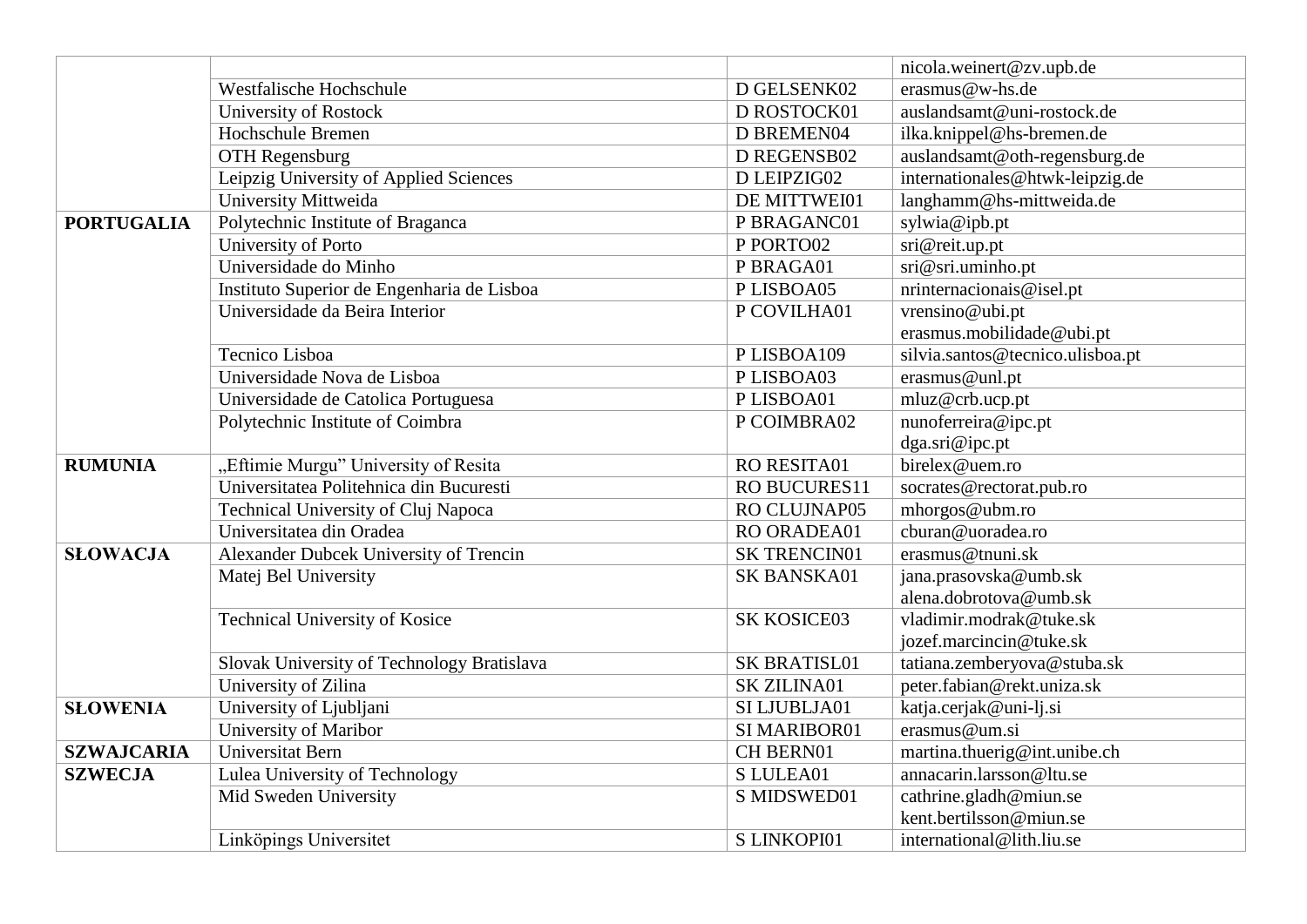|                   |                                            |                     | nicola.weinert@zv.upb.de         |
|-------------------|--------------------------------------------|---------------------|----------------------------------|
|                   | Westfalische Hochschule                    | D GELSENK02         | erasmus@w-hs.de                  |
|                   | University of Rostock                      | D ROSTOCK01         | auslandsamt@uni-rostock.de       |
|                   | <b>Hochschule Bremen</b>                   | D BREMEN04          | ilka.knippel@hs-bremen.de        |
|                   | <b>OTH Regensburg</b>                      | D REGENSB02         | auslandsamt@oth-regensburg.de    |
|                   | Leipzig University of Applied Sciences     | D LEIPZIG02         | internationales@htwk-leipzig.de  |
|                   | University Mittweida                       | DE MITTWEI01        | langhamm@hs-mittweida.de         |
| <b>PORTUGALIA</b> | Polytechnic Institute of Braganca          | P BRAGANC01         | sylwia@ipb.pt                    |
|                   | University of Porto                        | P PORTO02           | sri@reit.up.pt                   |
|                   | Universidade do Minho                      | P BRAGA01           | sri@sri.uminho.pt                |
|                   | Instituto Superior de Engenharia de Lisboa | PLISBOA05           | nrinternacionais@isel.pt         |
|                   | Universidade da Beira Interior             | P COVILHA01         | vrensino@ubi.pt                  |
|                   |                                            |                     | erasmus.mobilidade@ubi.pt        |
|                   | Tecnico Lisboa                             | PLISBOA109          | silvia.santos@tecnico.ulisboa.pt |
|                   | Universidade Nova de Lisboa                | PLISBOA03           | erasmus@unl.pt                   |
|                   | Universidade de Catolica Portuguesa        | PLISBOA01           | mluz@crb.ucp.pt                  |
|                   | Polytechnic Institute of Coimbra           | P COIMBRA02         | nunoferreira@ipc.pt              |
|                   |                                            |                     | dga.sri@ipc.pt                   |
| <b>RUMUNIA</b>    | "Eftimie Murgu" University of Resita       | RO RESITA01         | birelex@uem.ro                   |
|                   | Universitatea Politehnica din Bucuresti    | RO BUCURES11        | socrates@rectorat.pub.ro         |
|                   | Technical University of Cluj Napoca        | RO CLUJNAP05        | mhorgos@ubm.ro                   |
|                   | Universitatea din Oradea                   | RO ORADEA01         | cburan@uoradea.ro                |
| <b>SLOWACJA</b>   | Alexander Dubcek University of Trencin     | <b>SK TRENCIN01</b> | erasmus@tnuni.sk                 |
|                   | Matej Bel University                       | SK BANSKA01         | jana.prasovska@umb.sk            |
|                   |                                            |                     | alena.dobrotova@umb.sk           |
|                   | <b>Technical University of Kosice</b>      | <b>SK KOSICE03</b>  | vladimir.modrak@tuke.sk          |
|                   |                                            |                     | jozef.marcincin@tuke.sk          |
|                   | Slovak University of Technology Bratislava | <b>SK BRATISL01</b> | tatiana.zemberyova@stuba.sk      |
|                   | University of Zilina                       | <b>SK ZILINA01</b>  | peter.fabian@rekt.uniza.sk       |
| <b>SLOWENIA</b>   | University of Ljubljani                    | SI LJUBLJA01        | katja.cerjak@uni-lj.si           |
|                   | University of Maribor                      | SI MARIBOR01        | erasmus@um.si                    |
| <b>SZWAJCARIA</b> | Universitat Bern                           | CH BERN01           | martina.thuerig@int.unibe.ch     |
| <b>SZWECJA</b>    | Lulea University of Technology             | S LULEA01           | annacarin.larsson@ltu.se         |
|                   | Mid Sweden University                      | S MIDSWED01         | cathrine.gladh@miun.se           |
|                   |                                            |                     | kent.bertilsson@miun.se          |
|                   | Linköpings Universitet                     | S LINKOPI01         | international@lith.liu.se        |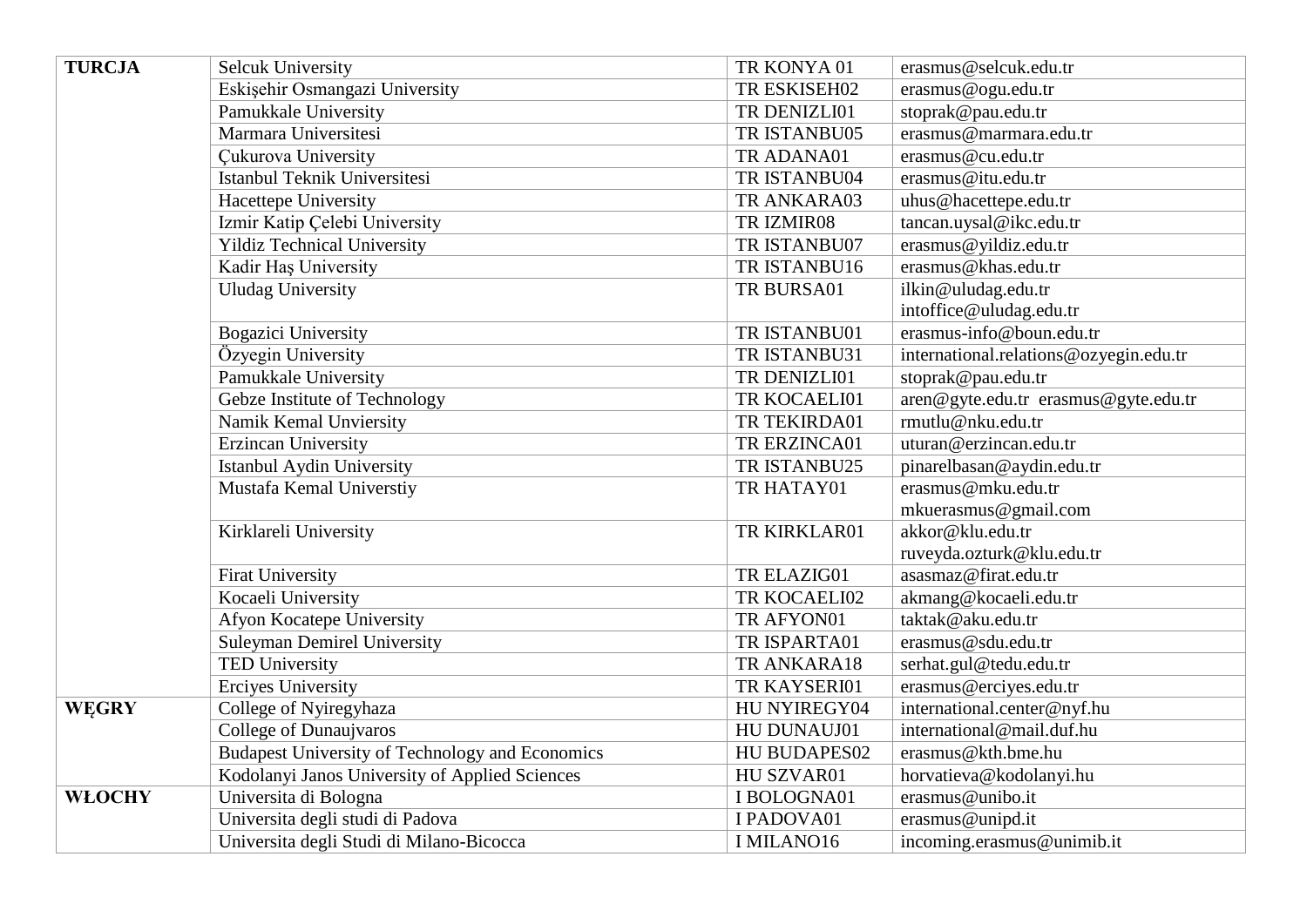| <b>TURCJA</b> | <b>Selcuk University</b>                               | TR KONYA 01      | erasmus@selcuk.edu.tr                  |
|---------------|--------------------------------------------------------|------------------|----------------------------------------|
|               | Eskişehir Osmangazi University                         | TR ESKISEH02     | erasmus@ogu.edu.tr                     |
|               | Pamukkale University                                   | TR DENIZLI01     | stoprak@pau.edu.tr                     |
|               | Marmara Universitesi                                   | TR ISTANBU05     | erasmus@marmara.edu.tr                 |
|               | <b>Cukurova University</b>                             | TR ADANA01       | erasmus@cu.edu.tr                      |
|               | Istanbul Teknik Universitesi                           | TR ISTANBU04     | erasmus@itu.edu.tr                     |
|               | Hacettepe University                                   | TR ANKARA03      | uhus@hacettepe.edu.tr                  |
|               | Izmir Katip Çelebi University                          | TR IZMIR08       | tancan.uysal@ikc.edu.tr                |
|               | <b>Yildiz Technical University</b>                     | TR ISTANBU07     | erasmus@yildiz.edu.tr                  |
|               | Kadir Haş University                                   | TR ISTANBU16     | erasmus@khas.edu.tr                    |
|               | <b>Uludag University</b>                               | TR BURSA01       | ilkin@uludag.edu.tr                    |
|               |                                                        |                  | intoffice@uludag.edu.tr                |
|               | <b>Bogazici University</b>                             | TR ISTANBU01     | erasmus-info@boun.edu.tr               |
|               | Özyegin University                                     | TR ISTANBU31     | international.relations@ozyegin.edu.tr |
|               | Pamukkale University                                   | TR DENIZLI01     | stoprak@pau.edu.tr                     |
|               | Gebze Institute of Technology                          | TR KOCAELI01     | aren@gyte.edu.tr erasmus@gyte.edu.tr   |
|               | Namik Kemal Unviersity                                 | TR TEKIRDA01     | rmutlu@nku.edu.tr                      |
|               | Erzincan University                                    | TR ERZINCA01     | uturan@erzincan.edu.tr                 |
|               | Istanbul Aydin University                              | TR ISTANBU25     | pinarelbasan@aydin.edu.tr              |
|               | Mustafa Kemal Universtiy                               | TR HATAY01       | erasmus@mku.edu.tr                     |
|               |                                                        |                  | mkuerasmus@gmail.com                   |
|               | Kirklareli University                                  | TR KIRKLAR01     | akkor@klu.edu.tr                       |
|               |                                                        |                  | ruveyda.ozturk@klu.edu.tr              |
|               | <b>Firat University</b>                                | TR ELAZIG01      | asasmaz@firat.edu.tr                   |
|               | Kocaeli University                                     | TR KOCAELI02     | akmang@kocaeli.edu.tr                  |
|               | Afyon Kocatepe University                              | TR AFYON01       | taktak@aku.edu.tr                      |
|               | <b>Suleyman Demirel University</b>                     | TR ISPARTA01     | erasmus@sdu.edu.tr                     |
|               | <b>TED University</b>                                  | TR ANKARA18      | serhat.gul@tedu.edu.tr                 |
|               | <b>Erciyes University</b>                              | TR KAYSERI01     | erasmus@erciyes.edu.tr                 |
| <b>WEGRY</b>  | College of Nyiregyhaza                                 | HU NYIREGY04     | international.center@nyf.hu            |
|               | College of Dunaujvaros                                 | HU DUNAUJ01      | international@mail.duf.hu              |
|               | <b>Budapest University of Technology and Economics</b> | HU BUDAPES02     | erasmus@kth.bme.hu                     |
|               | Kodolanyi Janos University of Applied Sciences         | HU SZVAR01       | horvatieva@kodolanyi.hu                |
| <b>WŁOCHY</b> | Universita di Bologna                                  | I BOLOGNA01      | erasmus@unibo.it                       |
|               | Universita degli studi di Padova                       | I PADOVA01       | erasmus@unipd.it                       |
|               | Universita degli Studi di Milano-Bicocca               | <b>IMILANO16</b> | incoming.erasmus@unimib.it             |